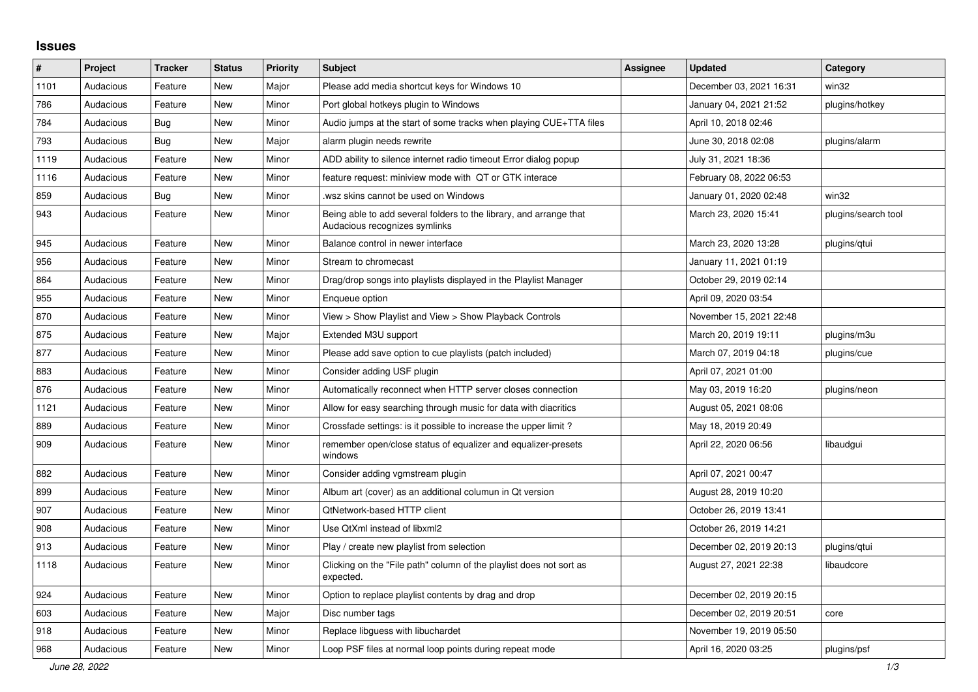## **Issues**

| $\#$ | Project   | <b>Tracker</b> | <b>Status</b> | <b>Priority</b> | <b>Subject</b>                                                                                      | <b>Assignee</b> | <b>Updated</b>          | Category            |
|------|-----------|----------------|---------------|-----------------|-----------------------------------------------------------------------------------------------------|-----------------|-------------------------|---------------------|
| 1101 | Audacious | Feature        | <b>New</b>    | Major           | Please add media shortcut keys for Windows 10                                                       |                 | December 03, 2021 16:31 | win32               |
| 786  | Audacious | Feature        | <b>New</b>    | Minor           | Port global hotkeys plugin to Windows                                                               |                 | January 04, 2021 21:52  | plugins/hotkey      |
| 784  | Audacious | <b>Bug</b>     | <b>New</b>    | Minor           | Audio jumps at the start of some tracks when playing CUE+TTA files                                  |                 | April 10, 2018 02:46    |                     |
| 793  | Audacious | Bug            | New           | Major           | alarm plugin needs rewrite                                                                          |                 | June 30, 2018 02:08     | plugins/alarm       |
| 1119 | Audacious | Feature        | <b>New</b>    | Minor           | ADD ability to silence internet radio timeout Error dialog popup                                    |                 | July 31, 2021 18:36     |                     |
| 1116 | Audacious | Feature        | <b>New</b>    | Minor           | feature request: miniview mode with QT or GTK interace                                              |                 | February 08, 2022 06:53 |                     |
| 859  | Audacious | Bug            | New           | Minor           | wsz skins cannot be used on Windows.                                                                |                 | January 01, 2020 02:48  | win32               |
| 943  | Audacious | Feature        | New           | Minor           | Being able to add several folders to the library, and arrange that<br>Audacious recognizes symlinks |                 | March 23, 2020 15:41    | plugins/search tool |
| 945  | Audacious | Feature        | New           | Minor           | Balance control in newer interface                                                                  |                 | March 23, 2020 13:28    | plugins/qtui        |
| 956  | Audacious | Feature        | <b>New</b>    | Minor           | Stream to chromecast                                                                                |                 | January 11, 2021 01:19  |                     |
| 864  | Audacious | Feature        | <b>New</b>    | Minor           | Drag/drop songs into playlists displayed in the Playlist Manager                                    |                 | October 29, 2019 02:14  |                     |
| 955  | Audacious | Feature        | <b>New</b>    | Minor           | Enqueue option                                                                                      |                 | April 09, 2020 03:54    |                     |
| 870  | Audacious | Feature        | New           | Minor           | View > Show Playlist and View > Show Playback Controls                                              |                 | November 15, 2021 22:48 |                     |
| 875  | Audacious | Feature        | <b>New</b>    | Major           | Extended M3U support                                                                                |                 | March 20, 2019 19:11    | plugins/m3u         |
| 877  | Audacious | Feature        | <b>New</b>    | Minor           | Please add save option to cue playlists (patch included)                                            |                 | March 07, 2019 04:18    | plugins/cue         |
| 883  | Audacious | Feature        | New           | Minor           | Consider adding USF plugin                                                                          |                 | April 07, 2021 01:00    |                     |
| 876  | Audacious | Feature        | <b>New</b>    | Minor           | Automatically reconnect when HTTP server closes connection                                          |                 | May 03, 2019 16:20      | plugins/neon        |
| 1121 | Audacious | Feature        | New           | Minor           | Allow for easy searching through music for data with diacritics                                     |                 | August 05, 2021 08:06   |                     |
| 889  | Audacious | Feature        | <b>New</b>    | Minor           | Crossfade settings: is it possible to increase the upper limit?                                     |                 | May 18, 2019 20:49      |                     |
| 909  | Audacious | Feature        | New           | Minor           | remember open/close status of equalizer and equalizer-presets<br>windows                            |                 | April 22, 2020 06:56    | libaudgui           |
| 882  | Audacious | Feature        | New           | Minor           | Consider adding vgmstream plugin                                                                    |                 | April 07, 2021 00:47    |                     |
| 899  | Audacious | Feature        | <b>New</b>    | Minor           | Album art (cover) as an additional columun in Qt version                                            |                 | August 28, 2019 10:20   |                     |
| 907  | Audacious | Feature        | <b>New</b>    | Minor           | QtNetwork-based HTTP client                                                                         |                 | October 26, 2019 13:41  |                     |
| 908  | Audacious | Feature        | New           | Minor           | Use QtXml instead of libxml2                                                                        |                 | October 26, 2019 14:21  |                     |
| 913  | Audacious | Feature        | New           | Minor           | Play / create new playlist from selection                                                           |                 | December 02, 2019 20:13 | plugins/gtui        |
| 1118 | Audacious | Feature        | New           | Minor           | Clicking on the "File path" column of the playlist does not sort as<br>expected.                    |                 | August 27, 2021 22:38   | libaudcore          |
| 924  | Audacious | Feature        | <b>New</b>    | Minor           | Option to replace playlist contents by drag and drop                                                |                 | December 02, 2019 20:15 |                     |
| 603  | Audacious | Feature        | New           | Major           | Disc number tags                                                                                    |                 | December 02, 2019 20:51 | core                |
| 918  | Audacious | Feature        | New           | Minor           | Replace libguess with libuchardet                                                                   |                 | November 19, 2019 05:50 |                     |
| 968  | Audacious | Feature        | <b>New</b>    | Minor           | Loop PSF files at normal loop points during repeat mode                                             |                 | April 16, 2020 03:25    | plugins/psf         |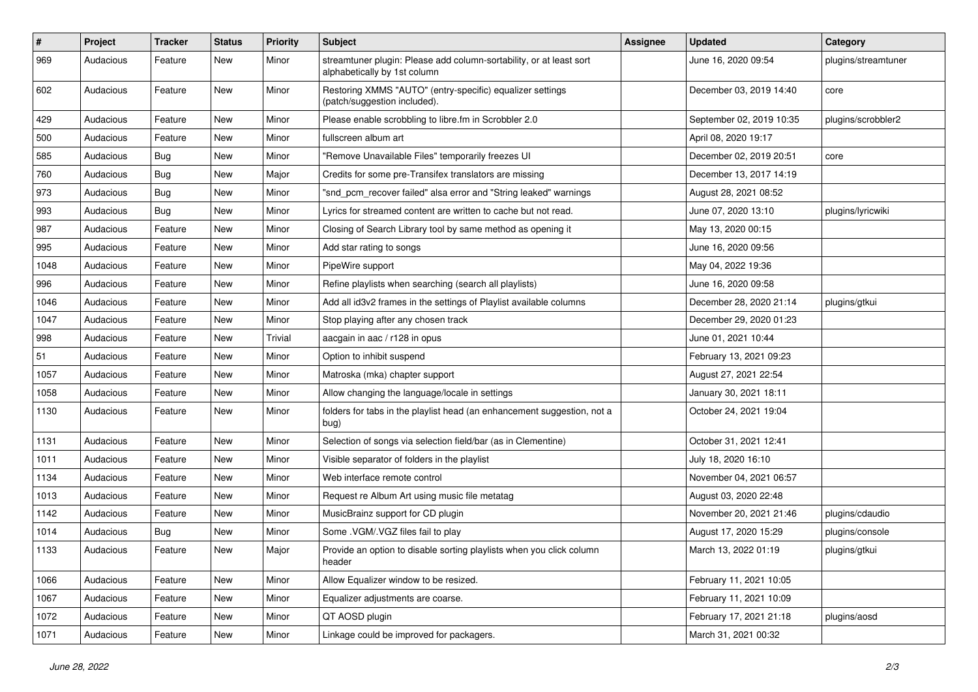| $\pmb{\#}$ | Project   | <b>Tracker</b> | <b>Status</b> | <b>Priority</b> | <b>Subject</b>                                                                                      | <b>Assignee</b> | <b>Updated</b>           | Category            |
|------------|-----------|----------------|---------------|-----------------|-----------------------------------------------------------------------------------------------------|-----------------|--------------------------|---------------------|
| 969        | Audacious | Feature        | New           | Minor           | streamtuner plugin: Please add column-sortability, or at least sort<br>alphabetically by 1st column |                 | June 16, 2020 09:54      | plugins/streamtuner |
| 602        | Audacious | Feature        | New           | Minor           | Restoring XMMS "AUTO" (entry-specific) equalizer settings<br>(patch/suggestion included).           |                 | December 03, 2019 14:40  | core                |
| 429        | Audacious | Feature        | <b>New</b>    | Minor           | Please enable scrobbling to libre.fm in Scrobbler 2.0                                               |                 | September 02, 2019 10:35 | plugins/scrobbler2  |
| 500        | Audacious | Feature        | New           | Minor           | fullscreen album art                                                                                |                 | April 08, 2020 19:17     |                     |
| 585        | Audacious | <b>Bug</b>     | New           | Minor           | "Remove Unavailable Files" temporarily freezes UI                                                   |                 | December 02, 2019 20:51  | core                |
| 760        | Audacious | Bug            | New           | Major           | Credits for some pre-Transifex translators are missing                                              |                 | December 13, 2017 14:19  |                     |
| 973        | Audacious | Bug            | New           | Minor           | "snd_pcm_recover failed" alsa error and "String leaked" warnings                                    |                 | August 28, 2021 08:52    |                     |
| 993        | Audacious | Bug            | <b>New</b>    | Minor           | Lyrics for streamed content are written to cache but not read.                                      |                 | June 07, 2020 13:10      | plugins/lyricwiki   |
| 987        | Audacious | Feature        | New           | Minor           | Closing of Search Library tool by same method as opening it                                         |                 | May 13, 2020 00:15       |                     |
| 995        | Audacious | Feature        | New           | Minor           | Add star rating to songs                                                                            |                 | June 16, 2020 09:56      |                     |
| 1048       | Audacious | Feature        | New           | Minor           | PipeWire support                                                                                    |                 | May 04, 2022 19:36       |                     |
| 996        | Audacious | Feature        | New           | Minor           | Refine playlists when searching (search all playlists)                                              |                 | June 16, 2020 09:58      |                     |
| 1046       | Audacious | Feature        | <b>New</b>    | Minor           | Add all id3v2 frames in the settings of Playlist available columns                                  |                 | December 28, 2020 21:14  | plugins/gtkui       |
| 1047       | Audacious | Feature        | New           | Minor           | Stop playing after any chosen track                                                                 |                 | December 29, 2020 01:23  |                     |
| 998        | Audacious | Feature        | New           | Trivial         | aacgain in aac / r128 in opus                                                                       |                 | June 01, 2021 10:44      |                     |
| 51         | Audacious | Feature        | New           | Minor           | Option to inhibit suspend                                                                           |                 | February 13, 2021 09:23  |                     |
| 1057       | Audacious | Feature        | New           | Minor           | Matroska (mka) chapter support                                                                      |                 | August 27, 2021 22:54    |                     |
| 1058       | Audacious | Feature        | New           | Minor           | Allow changing the language/locale in settings                                                      |                 | January 30, 2021 18:11   |                     |
| 1130       | Audacious | Feature        | New           | Minor           | folders for tabs in the playlist head (an enhancement suggestion, not a<br>bug)                     |                 | October 24, 2021 19:04   |                     |
| 1131       | Audacious | Feature        | <b>New</b>    | Minor           | Selection of songs via selection field/bar (as in Clementine)                                       |                 | October 31, 2021 12:41   |                     |
| 1011       | Audacious | Feature        | New           | Minor           | Visible separator of folders in the playlist                                                        |                 | July 18, 2020 16:10      |                     |
| 1134       | Audacious | Feature        | New           | Minor           | Web interface remote control                                                                        |                 | November 04, 2021 06:57  |                     |
| 1013       | Audacious | Feature        | New           | Minor           | Request re Album Art using music file metatag                                                       |                 | August 03, 2020 22:48    |                     |
| 1142       | Audacious | Feature        | New           | Minor           | MusicBrainz support for CD plugin                                                                   |                 | November 20, 2021 21:46  | plugins/cdaudio     |
| 1014       | Audacious | <b>Bug</b>     | New           | Minor           | Some .VGM/.VGZ files fail to play                                                                   |                 | August 17, 2020 15:29    | plugins/console     |
| 1133       | Audacious | Feature        | New           | Major           | Provide an option to disable sorting playlists when you click column<br>header                      |                 | March 13, 2022 01:19     | plugins/gtkui       |
| 1066       | Audacious | Feature        | New           | Minor           | Allow Equalizer window to be resized.                                                               |                 | February 11, 2021 10:05  |                     |
| 1067       | Audacious | Feature        | New           | Minor           | Equalizer adjustments are coarse.                                                                   |                 | February 11, 2021 10:09  |                     |
| 1072       | Audacious | Feature        | New           | Minor           | QT AOSD plugin                                                                                      |                 | February 17, 2021 21:18  | plugins/aosd        |
| 1071       | Audacious | Feature        | New           | Minor           | Linkage could be improved for packagers.                                                            |                 | March 31, 2021 00:32     |                     |